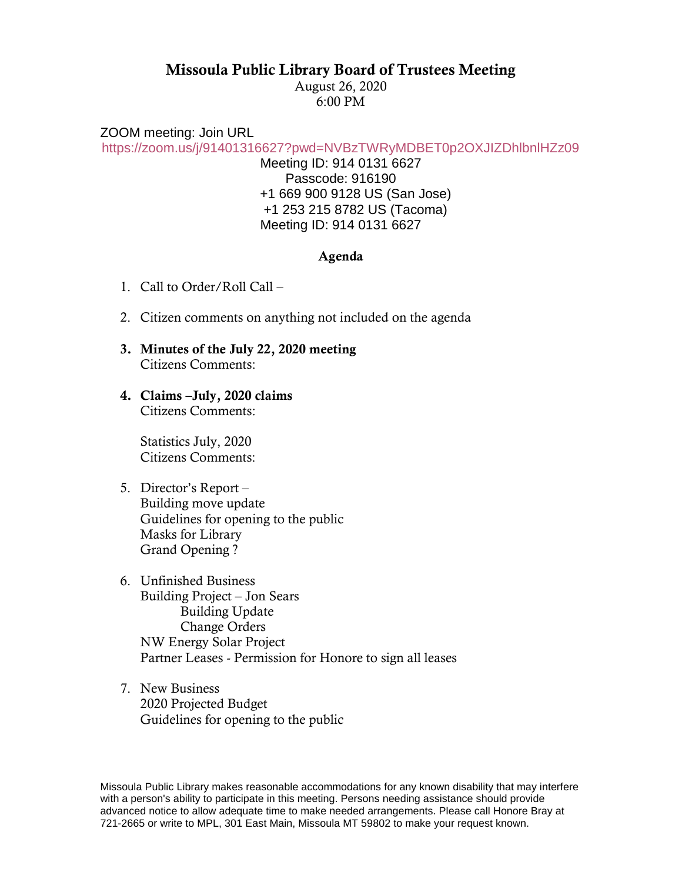## Missoula Public Library Board of Trustees Meeting

August 26, 2020 6:00 PM

ZOOM meeting: Join URL

<https://zoom.us/j/91401316627?pwd=NVBzTWRyMDBET0p2OXJIZDhlbnlHZz09>

Meeting ID: 914 0131 6627 Passcode: 916190 +1 669 900 9128 US (San Jose) +1 253 215 8782 US (Tacoma) Meeting ID: 914 0131 6627

## Agenda

- 1. Call to Order/Roll Call –
- 2. Citizen comments on anything not included on the agenda
- 3. Minutes of the July 22, 2020 meeting Citizens Comments:
- 4. Claims –July, 2020 claims Citizens Comments:

Statistics July, 2020 Citizens Comments:

- 5. Director's Report Building move update Guidelines for opening to the public Masks for Library Grand Opening ?
- 6. Unfinished Business Building Project – Jon Sears Building Update Change Orders NW Energy Solar Project Partner Leases - Permission for Honore to sign all leases
- 7. New Business 2020 Projected Budget Guidelines for opening to the public

Missoula Public Library makes reasonable accommodations for any known disability that may interfere with a person's ability to participate in this meeting. Persons needing assistance should provide advanced notice to allow adequate time to make needed arrangements. Please call Honore Bray at 721-2665 or write to MPL, 301 East Main, Missoula MT 59802 to make your request known.